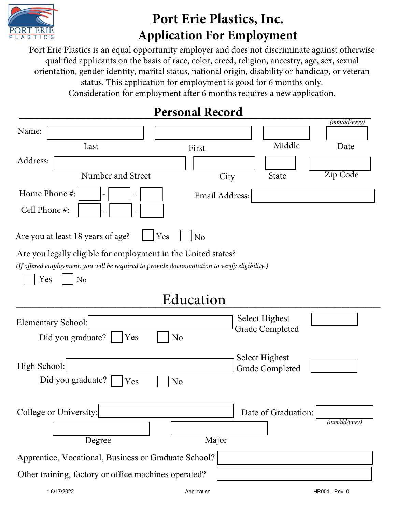

## **Port Erie Plastics, Inc. Application For Employment**

Port Erie Plastics is an equal opportunity employer and does not discriminate against otherwise qualified applicants on the basis of race, color, creed, religion, ancestry, age, sex, *s*exual orientation, gender identity, marital status, national origin, disability or handicap, or veteran status. This application for employment is good for 6 months only. Consideration for employment after 6 months requires a new application.

### **Personal Record \_\_\_\_\_\_\_\_\_\_\_\_\_\_\_\_\_\_\_\_\_\_\_\_\_\_\_\_\_\_\_\_\_\_\_\_\_\_\_\_\_\_\_\_\_\_\_\_\_\_\_\_\_\_\_\_\_\_\_\_\_\_\_\_\_\_\_\_**

|                                                                                                                                                                                         |                       |                |                        | (mm/dd/yyyy)   |
|-----------------------------------------------------------------------------------------------------------------------------------------------------------------------------------------|-----------------------|----------------|------------------------|----------------|
| Name:                                                                                                                                                                                   |                       |                |                        |                |
| Last                                                                                                                                                                                    |                       | First          | Middle                 | Date           |
| Address:                                                                                                                                                                                |                       |                |                        |                |
| Number and Street                                                                                                                                                                       |                       | City           | State                  | Zip Code       |
| Home Phone #:                                                                                                                                                                           |                       | Email Address: |                        |                |
| Cell Phone #:                                                                                                                                                                           |                       |                |                        |                |
| Are you at least 18 years of age?                                                                                                                                                       | Yes                   | N <sub>o</sub> |                        |                |
| Are you legally eligible for employment in the United states?<br>(If offered employment, you will be required to provide documentation to verify eligibility.)<br>Yes<br>N <sub>o</sub> |                       |                |                        |                |
|                                                                                                                                                                                         |                       | Education      |                        |                |
| <b>Elementary School:</b>                                                                                                                                                               |                       |                | <b>Select Highest</b>  |                |
| Did you graduate?                                                                                                                                                                       | Yes<br>N <sub>o</sub> |                | <b>Grade Completed</b> |                |
|                                                                                                                                                                                         |                       |                | Select Highest         |                |
| High School:                                                                                                                                                                            |                       |                | <b>Grade Completed</b> |                |
| Did you graduate?                                                                                                                                                                       | Yes<br>N <sub>o</sub> |                |                        |                |
| College or University:                                                                                                                                                                  |                       |                | Date of Graduation:    |                |
| Degree                                                                                                                                                                                  |                       | Major          |                        | (mm/dd/yyyy)   |
| Apprentice, Vocational, Business or Graduate School?                                                                                                                                    |                       |                |                        |                |
| Other training, factory or office machines operated?                                                                                                                                    |                       |                |                        |                |
| 1 6/17/2022                                                                                                                                                                             |                       | Application    |                        | HR001 - Rev. 0 |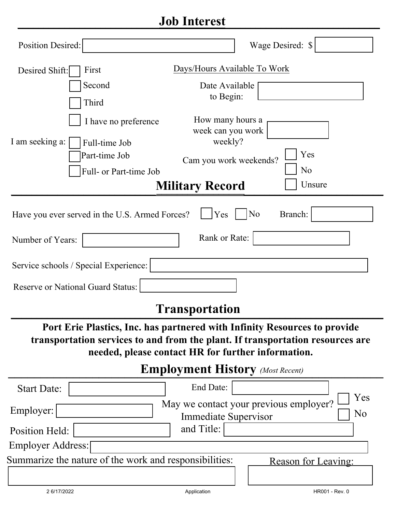#### **Job Interest \_\_\_\_\_\_\_\_\_\_\_\_\_\_\_\_\_\_\_\_\_\_\_\_\_\_\_\_\_\_\_\_\_\_\_\_\_\_\_\_\_\_\_\_\_\_\_\_\_\_\_\_\_\_\_\_\_\_\_\_\_\_\_\_\_\_\_\_\_\_**

| <b>Position Desired:</b>                                                                                                                                                                                                                                     | Wage Desired: \$                                                                               |  |  |  |
|--------------------------------------------------------------------------------------------------------------------------------------------------------------------------------------------------------------------------------------------------------------|------------------------------------------------------------------------------------------------|--|--|--|
| Desired Shift:<br>First                                                                                                                                                                                                                                      | Days/Hours Available To Work                                                                   |  |  |  |
| Second                                                                                                                                                                                                                                                       | Date Available                                                                                 |  |  |  |
| Third                                                                                                                                                                                                                                                        | to Begin:                                                                                      |  |  |  |
| I have no preference                                                                                                                                                                                                                                         | How many hours a<br>week can you work                                                          |  |  |  |
| I am seeking a:<br>Full-time Job                                                                                                                                                                                                                             | weekly?                                                                                        |  |  |  |
| Part-time Job                                                                                                                                                                                                                                                | Yes<br>Cam you work weekends?                                                                  |  |  |  |
| Full- or Part-time Job                                                                                                                                                                                                                                       | N <sub>o</sub>                                                                                 |  |  |  |
| Unsure<br><b>Military Record</b>                                                                                                                                                                                                                             |                                                                                                |  |  |  |
| N <sub>o</sub><br>Branch:<br>Yes<br>Have you ever served in the U.S. Armed Forces?<br>Rank or Rate:<br>Number of Years:<br>Service schools / Special Experience:<br><b>Reserve or National Guard Status:</b><br><b>Transportation</b>                        |                                                                                                |  |  |  |
| Port Erie Plastics, Inc. has partnered with Infinity Resources to provide<br>transportation services to and from the plant. If transportation resources are<br>needed, please contact HR for further information.<br><b>Employment History</b> (Most Recent) |                                                                                                |  |  |  |
| <b>Start Date:</b>                                                                                                                                                                                                                                           | End Date:                                                                                      |  |  |  |
| Employer:                                                                                                                                                                                                                                                    | Yes<br>May we contact your previous employer?<br>N <sub>o</sub><br><b>Immediate Supervisor</b> |  |  |  |

Position Held: Employer Address:

Summarize the nature of the work and responsibilities:

Reason for Leaving:

and Title: